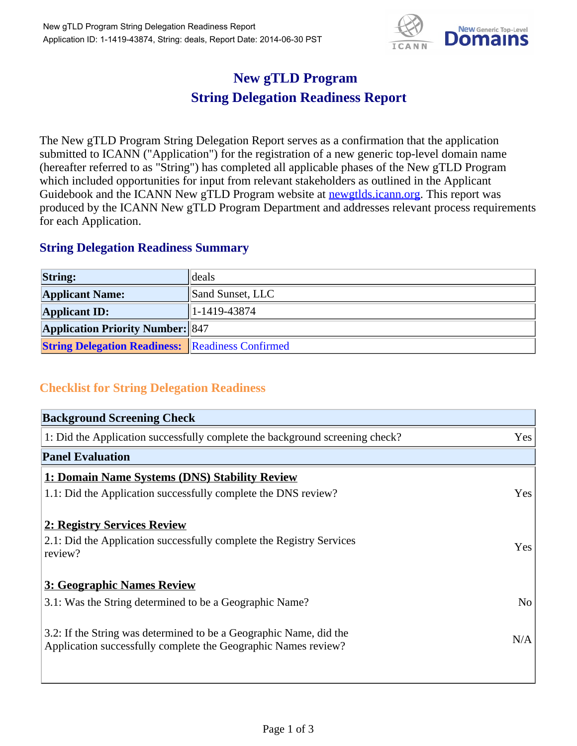

## **New gTLD Program String Delegation Readiness Report**

The New gTLD Program String Delegation Report serves as a confirmation that the application submitted to ICANN ("Application") for the registration of a new generic top-level domain name (hereafter referred to as "String") has completed all applicable phases of the New gTLD Program which included opportunities for input from relevant stakeholders as outlined in the Applicant Guidebook and the ICANN New gTLD Program website at newgtlds.icann.org. This report was produced by the ICANN New gTLD Program Department and addresses relevant process requirements for each Application.

## **String Delegation Readiness Summary**

| <b>String:</b>                                          | deals            |
|---------------------------------------------------------|------------------|
| <b>Applicant Name:</b>                                  | Sand Sunset, LLC |
| <b>Applicant ID:</b>                                    | $ 1-1419-43874 $ |
| <b>Application Priority Number: 847</b>                 |                  |
| <b>String Delegation Readiness:</b> Readiness Confirmed |                  |

## **Checklist for String Delegation Readiness**

| <b>Background Screening Check</b>                                                                                                    |                |
|--------------------------------------------------------------------------------------------------------------------------------------|----------------|
| 1: Did the Application successfully complete the background screening check?                                                         | Yes            |
| <b>Panel Evaluation</b>                                                                                                              |                |
| 1: Domain Name Systems (DNS) Stability Review                                                                                        |                |
| 1.1: Did the Application successfully complete the DNS review?                                                                       | Yes            |
| 2: Registry Services Review                                                                                                          |                |
| 2.1: Did the Application successfully complete the Registry Services<br>review?                                                      | Yes            |
| 3: Geographic Names Review                                                                                                           |                |
| 3.1: Was the String determined to be a Geographic Name?                                                                              | N <sub>o</sub> |
| 3.2: If the String was determined to be a Geographic Name, did the<br>Application successfully complete the Geographic Names review? | N/A            |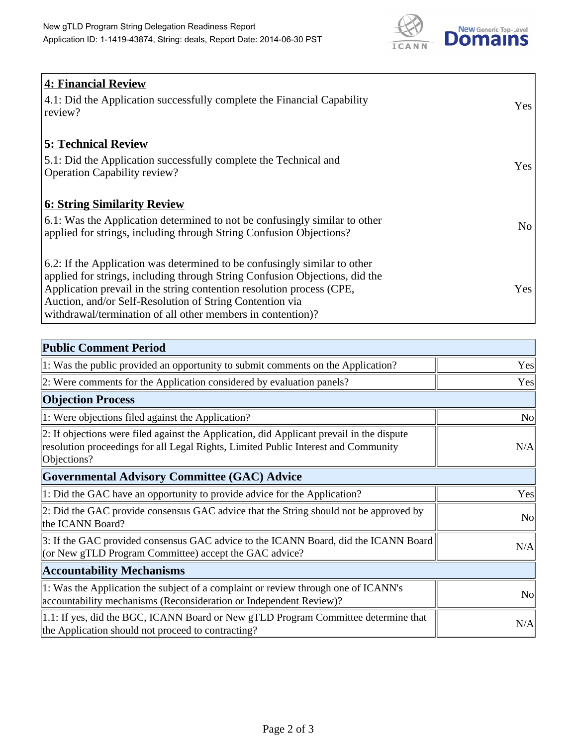

| <b>4: Financial Review</b>                                                         |     |
|------------------------------------------------------------------------------------|-----|
| $\vert$ 4.1: Did the Application successfully complete the Financial Capability    | Yes |
| review?                                                                            |     |
|                                                                                    |     |
| <b>5: Technical Review</b>                                                         |     |
| 5.1: Did the Application successfully complete the Technical and                   | Yes |
| <b>Operation Capability review?</b>                                                |     |
|                                                                                    |     |
| <b>6: String Similarity Review</b>                                                 |     |
| $\vert$ 6.1: Was the Application determined to not be confusingly similar to other | No  |
| applied for strings, including through String Confusion Objections?                |     |
|                                                                                    |     |
| 6.2: If the Application was determined to be confusingly similar to other          |     |
| applied for strings, including through String Confusion Objections, did the        |     |
| Application prevail in the string contention resolution process (CPE,              | Yes |
| Auction, and/or Self-Resolution of String Contention via                           |     |
| withdrawal/termination of all other members in contention)?                        |     |

| <b>Public Comment Period</b>                                                                                                                                                                   |                |
|------------------------------------------------------------------------------------------------------------------------------------------------------------------------------------------------|----------------|
| 1: Was the public provided an opportunity to submit comments on the Application?                                                                                                               | Yes            |
| 2: Were comments for the Application considered by evaluation panels?                                                                                                                          | Yes            |
| <b>Objection Process</b>                                                                                                                                                                       |                |
| 1: Were objections filed against the Application?                                                                                                                                              | <b>No</b>      |
| 2: If objections were filed against the Application, did Applicant prevail in the dispute<br>resolution proceedings for all Legal Rights, Limited Public Interest and Community<br>Objections? | N/A            |
| Governmental Advisory Committee (GAC) Advice                                                                                                                                                   |                |
| 1: Did the GAC have an opportunity to provide advice for the Application?                                                                                                                      | Yes            |
| 2: Did the GAC provide consensus GAC advice that the String should not be approved by<br>the ICANN Board?                                                                                      | <b>No</b>      |
| 3: If the GAC provided consensus GAC advice to the ICANN Board, did the ICANN Board<br>(or New gTLD Program Committee) accept the GAC advice?                                                  | N/A            |
| <b>Accountability Mechanisms</b>                                                                                                                                                               |                |
| 1: Was the Application the subject of a complaint or review through one of ICANN's<br>accountability mechanisms (Reconsideration or Independent Review)?                                       | N <sub>0</sub> |
| 1.1: If yes, did the BGC, ICANN Board or New gTLD Program Committee determine that<br>the Application should not proceed to contracting?                                                       | N/A            |